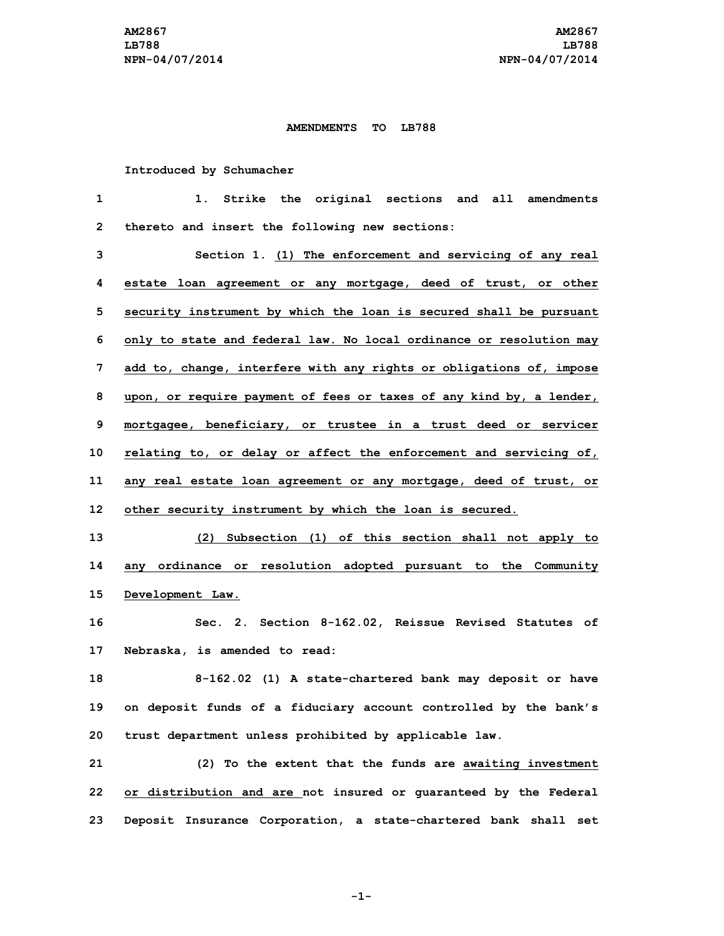## **AMENDMENTS TO LB788**

## **Introduced by Schumacher**

| 1            | Strike the original sections and all amendments<br>1.               |
|--------------|---------------------------------------------------------------------|
| $\mathbf{2}$ | thereto and insert the following new sections:                      |
| 3            | Section 1. (1) The enforcement and servicing of any real            |
| 4            | estate loan agreement or any mortgage, deed of trust, or other      |
| 5            | security instrument by which the loan is secured shall be pursuant  |
| 6            | only to state and federal law. No local ordinance or resolution may |
| 7            | add to, change, interfere with any rights or obligations of, impose |
| 8            | upon, or require payment of fees or taxes of any kind by, a lender, |
| 9            | mortgagee, beneficiary, or trustee in a trust deed or servicer      |
| 10           | relating to, or delay or affect the enforcement and servicing of,   |
| 11           | any real estate loan agreement or any mortgage, deed of trust, or   |
| 12           | other security instrument by which the loan is secured.             |
| 13           | (2) Subsection (1) of this section shall not apply to               |
| 14           | ordinance or resolution adopted pursuant to the Community<br>any    |
| 15           | Development Law.                                                    |
| 16           | Sec. 2. Section 8-162.02, Reissue Revised Statutes of               |
| 17           | Nebraska, is amended to read:                                       |
| 18           | 8-162.02 (1) A state-chartered bank may deposit or have             |
| 19           | on deposit funds of a fiduciary account controlled by the bank's    |
| 20           | trust department unless prohibited by applicable law.               |
| 21           | (2) To the extent that the funds are awaiting investment            |
| 22           | or distribution and are not insured or guaranteed by the Federal    |
| 23           | Deposit Insurance Corporation, a state-chartered bank shall set     |

**-1-**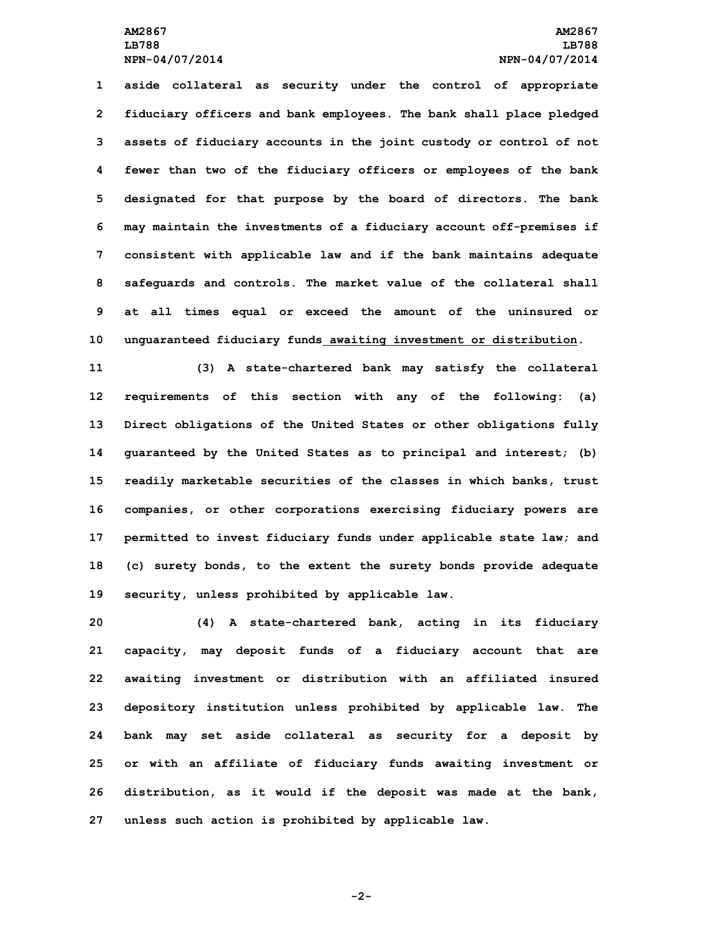## **AM2867 AM2867 LB788 LB788 NPN-04/07/2014 NPN-04/07/2014**

 **aside collateral as security under the control of appropriate fiduciary officers and bank employees. The bank shall place pledged assets of fiduciary accounts in the joint custody or control of not fewer than two of the fiduciary officers or employees of the bank designated for that purpose by the board of directors. The bank may maintain the investments of <sup>a</sup> fiduciary account off-premises if consistent with applicable law and if the bank maintains adequate safeguards and controls. The market value of the collateral shall at all times equal or exceed the amount of the uninsured or unguaranteed fiduciary funds awaiting investment or distribution.**

 **(3) <sup>A</sup> state-chartered bank may satisfy the collateral requirements of this section with any of the following: (a) Direct obligations of the United States or other obligations fully guaranteed by the United States as to principal and interest; (b) readily marketable securities of the classes in which banks, trust companies, or other corporations exercising fiduciary powers are permitted to invest fiduciary funds under applicable state law; and (c) surety bonds, to the extent the surety bonds provide adequate security, unless prohibited by applicable law.**

 **(4) <sup>A</sup> state-chartered bank, acting in its fiduciary capacity, may deposit funds of <sup>a</sup> fiduciary account that are awaiting investment or distribution with an affiliated insured depository institution unless prohibited by applicable law. The bank may set aside collateral as security for <sup>a</sup> deposit by or with an affiliate of fiduciary funds awaiting investment or distribution, as it would if the deposit was made at the bank, unless such action is prohibited by applicable law.**

**-2-**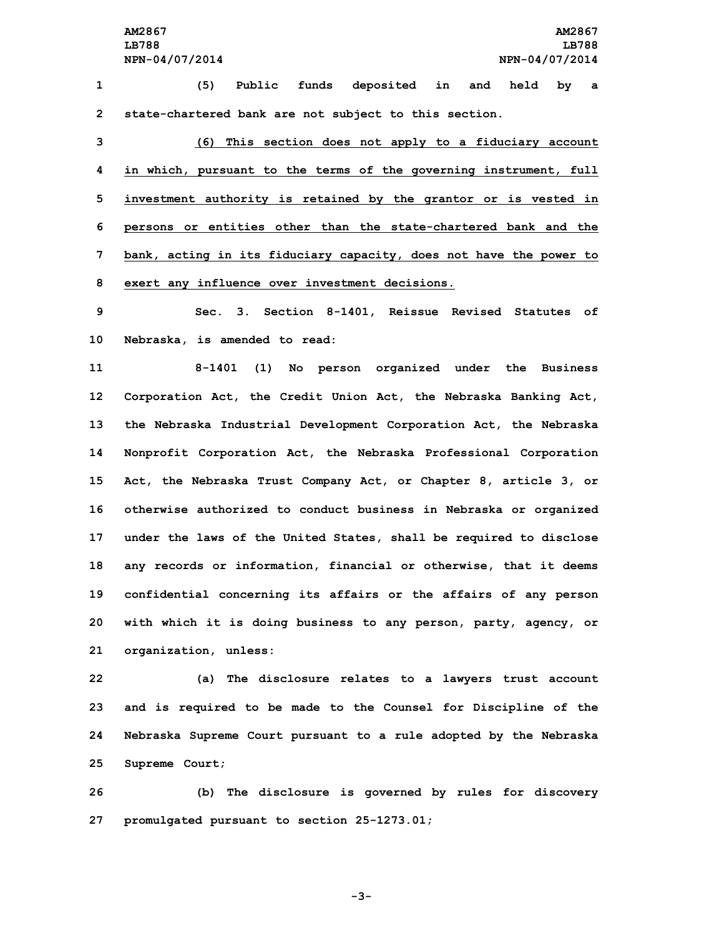**1 (5) Public funds deposited in and held by <sup>a</sup> 2 state-chartered bank are not subject to this section.**

 **(6) This section does not apply to <sup>a</sup> fiduciary account in which, pursuant to the terms of the governing instrument, full investment authority is retained by the grantor or is vested in persons or entities other than the state-chartered bank and the bank, acting in its fiduciary capacity, does not have the power to exert any influence over investment decisions.**

**9 Sec. 3. Section 8-1401, Reissue Revised Statutes of 10 Nebraska, is amended to read:**

 **8-1401 (1) No person organized under the Business Corporation Act, the Credit Union Act, the Nebraska Banking Act, the Nebraska Industrial Development Corporation Act, the Nebraska Nonprofit Corporation Act, the Nebraska Professional Corporation Act, the Nebraska Trust Company Act, or Chapter 8, article 3, or otherwise authorized to conduct business in Nebraska or organized under the laws of the United States, shall be required to disclose any records or information, financial or otherwise, that it deems confidential concerning its affairs or the affairs of any person with which it is doing business to any person, party, agency, or organization, unless:**

 **(a) The disclosure relates to <sup>a</sup> lawyers trust account and is required to be made to the Counsel for Discipline of the Nebraska Supreme Court pursuant to <sup>a</sup> rule adopted by the Nebraska Supreme Court;**

**26 (b) The disclosure is governed by rules for discovery 27 promulgated pursuant to section 25-1273.01;**

**-3-**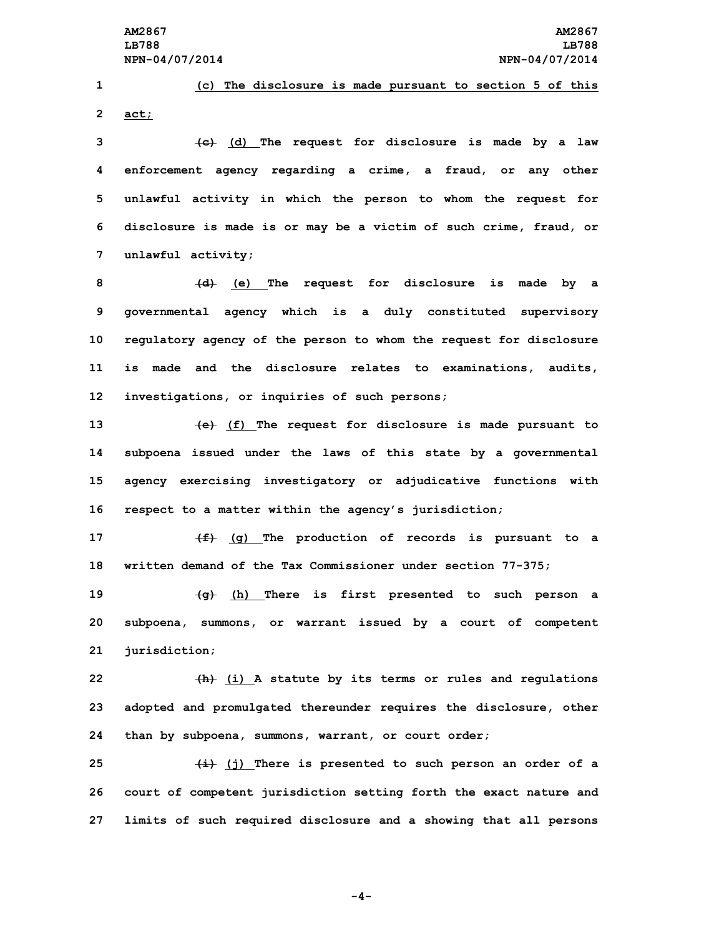**1 (c) The disclosure is made pursuant to section 5 of this 2 act;**

 **(c) (d) The request for disclosure is made by <sup>a</sup> law enforcement agency regarding <sup>a</sup> crime, <sup>a</sup> fraud, or any other unlawful activity in which the person to whom the request for disclosure is made is or may be <sup>a</sup> victim of such crime, fraud, or unlawful activity;**

 **(d) (e) The request for disclosure is made by <sup>a</sup> governmental agency which is <sup>a</sup> duly constituted supervisory regulatory agency of the person to whom the request for disclosure is made and the disclosure relates to examinations, audits, investigations, or inquiries of such persons;**

 **(e) (f) The request for disclosure is made pursuant to subpoena issued under the laws of this state by <sup>a</sup> governmental agency exercising investigatory or adjudicative functions with respect to <sup>a</sup> matter within the agency's jurisdiction;**

**17 (f) (g) The production of records is pursuant to <sup>a</sup> 18 written demand of the Tax Commissioner under section 77-375;**

**19 (g) (h) There is first presented to such person <sup>a</sup> 20 subpoena, summons, or warrant issued by <sup>a</sup> court of competent 21 jurisdiction;**

**22 (h) (i) <sup>A</sup> statute by its terms or rules and regulations 23 adopted and promulgated thereunder requires the disclosure, other 24 than by subpoena, summons, warrant, or court order;**

**25 (i) (j) There is presented to such person an order of <sup>a</sup> 26 court of competent jurisdiction setting forth the exact nature and 27 limits of such required disclosure and <sup>a</sup> showing that all persons**

**-4-**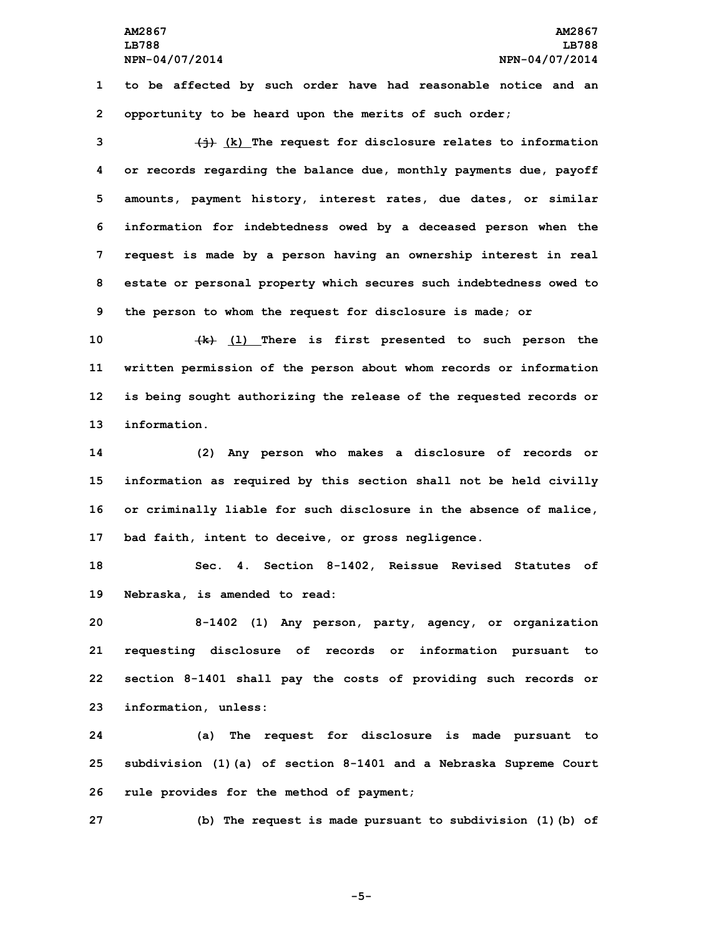**1 to be affected by such order have had reasonable notice and an 2 opportunity to be heard upon the merits of such order;**

 **(j) (k) The request for disclosure relates to information or records regarding the balance due, monthly payments due, payoff amounts, payment history, interest rates, due dates, or similar information for indebtedness owed by <sup>a</sup> deceased person when the request is made by <sup>a</sup> person having an ownership interest in real estate or personal property which secures such indebtedness owed to the person to whom the request for disclosure is made; or**

 **(k) (l) There is first presented to such person the written permission of the person about whom records or information is being sought authorizing the release of the requested records or information.**

 **(2) Any person who makes <sup>a</sup> disclosure of records or information as required by this section shall not be held civilly or criminally liable for such disclosure in the absence of malice, bad faith, intent to deceive, or gross negligence.**

**18 Sec. 4. Section 8-1402, Reissue Revised Statutes of 19 Nebraska, is amended to read:**

 **8-1402 (1) Any person, party, agency, or organization requesting disclosure of records or information pursuant to section 8-1401 shall pay the costs of providing such records or information, unless:**

**24 (a) The request for disclosure is made pursuant to 25 subdivision (1)(a) of section 8-1401 and <sup>a</sup> Nebraska Supreme Court 26 rule provides for the method of payment;**

**27 (b) The request is made pursuant to subdivision (1)(b) of**

**-5-**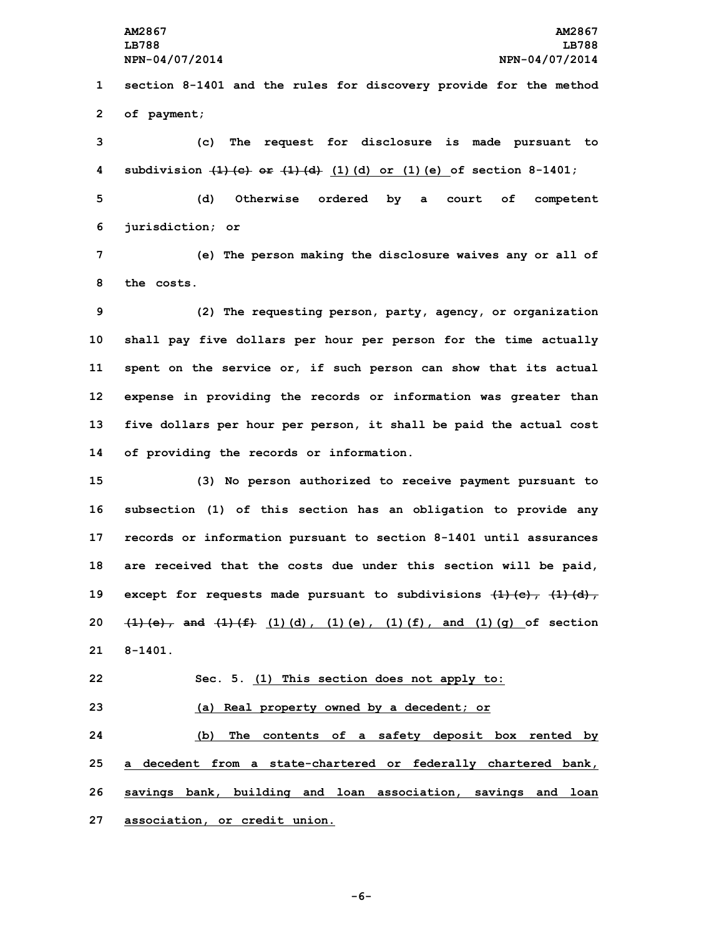**AM2867 AM2867 LB788 LB788 NPN-04/07/2014 NPN-04/07/2014**

**1 section 8-1401 and the rules for discovery provide for the method 2 of payment;**

 **(c) The request for disclosure is made pursuant to subdivision (1)(c) or (1)(d) (1)(d) or (1)(e) of section 8-1401; (d) Otherwise ordered by <sup>a</sup> court of competent jurisdiction; or**

**7 (e) The person making the disclosure waives any or all of 8 the costs.**

 **(2) The requesting person, party, agency, or organization shall pay five dollars per hour per person for the time actually spent on the service or, if such person can show that its actual expense in providing the records or information was greater than five dollars per hour per person, it shall be paid the actual cost of providing the records or information.**

 **(3) No person authorized to receive payment pursuant to subsection (1) of this section has an obligation to provide any records or information pursuant to section 8-1401 until assurances are received that the costs due under this section will be paid, except for requests made pursuant to subdivisions (1)(c), (1)(d), (1)(e), and (1)(f) (1)(d), (1)(e), (1)(f), and (1)(g) of section 21 8-1401.**

**22 Sec. 5. (1) This section does not apply to:**

**23 (a) Real property owned by <sup>a</sup> decedent; or**

 **(b) The contents of <sup>a</sup> safety deposit box rented by <sup>a</sup> decedent from <sup>a</sup> state-chartered or federally chartered bank, savings bank, building and loan association, savings and loan association, or credit union.**

**-6-**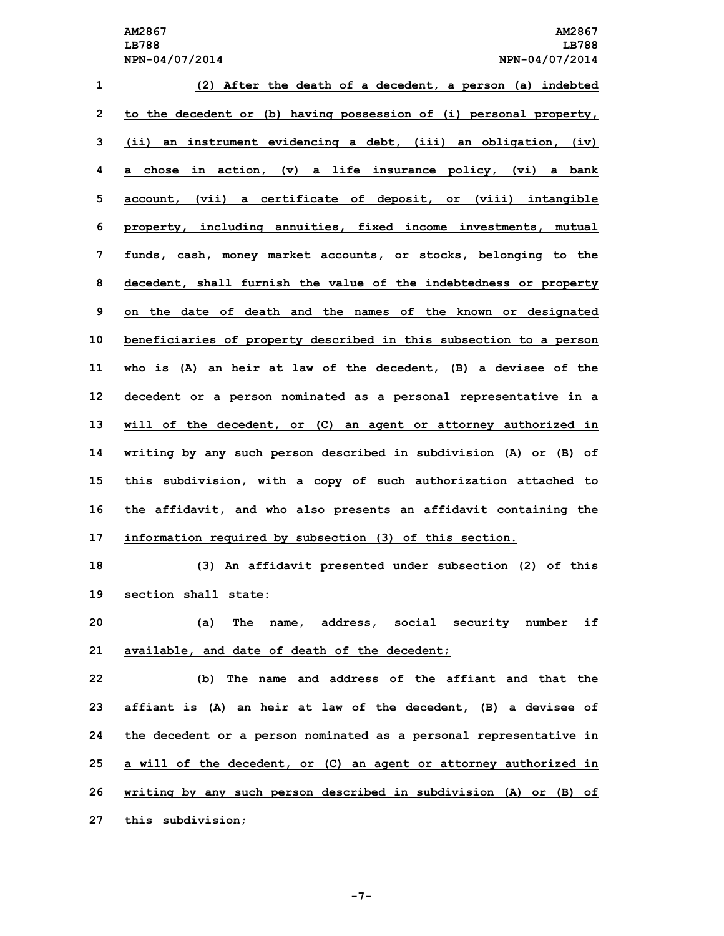| $\mathbf{1}$ | (2) After the death of a decedent, a person (a) indebted           |
|--------------|--------------------------------------------------------------------|
| $\mathbf{2}$ | to the decedent or (b) having possession of (i) personal property, |
| 3            | (ii) an instrument evidencing a debt, (iii) an obligation, (iv)    |
| 4            | a chose in action, (v) a life insurance policy, (vi) a bank        |
| 5            | account, (vii) a certificate of deposit, or (viii) intangible      |
| 6            | property, including annuities, fixed income investments, mutual    |
| 7            | funds, cash, money market accounts, or stocks, belonging to the    |
| 8            | decedent, shall furnish the value of the indebtedness or property  |
| 9            | on the date of death and the names of the known or designated      |
| 10           | beneficiaries of property described in this subsection to a person |
| 11           | who is (A) an heir at law of the decedent, (B) a devisee of the    |
| 12           | decedent or a person nominated as a personal representative in a   |
| 13           | will of the decedent, or (C) an agent or attorney authorized in    |
| 14           | writing by any such person described in subdivision (A) or (B) of  |
| 15           | this subdivision, with a copy of such authorization attached to    |
| 16           | the affidavit, and who also presents an affidavit containing the   |
| 17           | information required by subsection (3) of this section.            |
| 18           | (3) An affidavit presented under subsection (2) of this            |
| 19           | section shall state:                                               |
| 20           | The name, address, social security number if<br>(a)                |
| 21           | available, and date of death of the decedent;                      |
| 22           | (b) The name and address of the affiant and that the               |
| 23           | affiant is (A) an heir at law of the decedent, (B) a devisee of    |
| 24           | the decedent or a person nominated as a personal representative in |
| 25           | a will of the decedent, or (C) an agent or attorney authorized in  |

**26 writing by any such person described in subdivision (A) or (B) of**

**27 this subdivision;**

**-7-**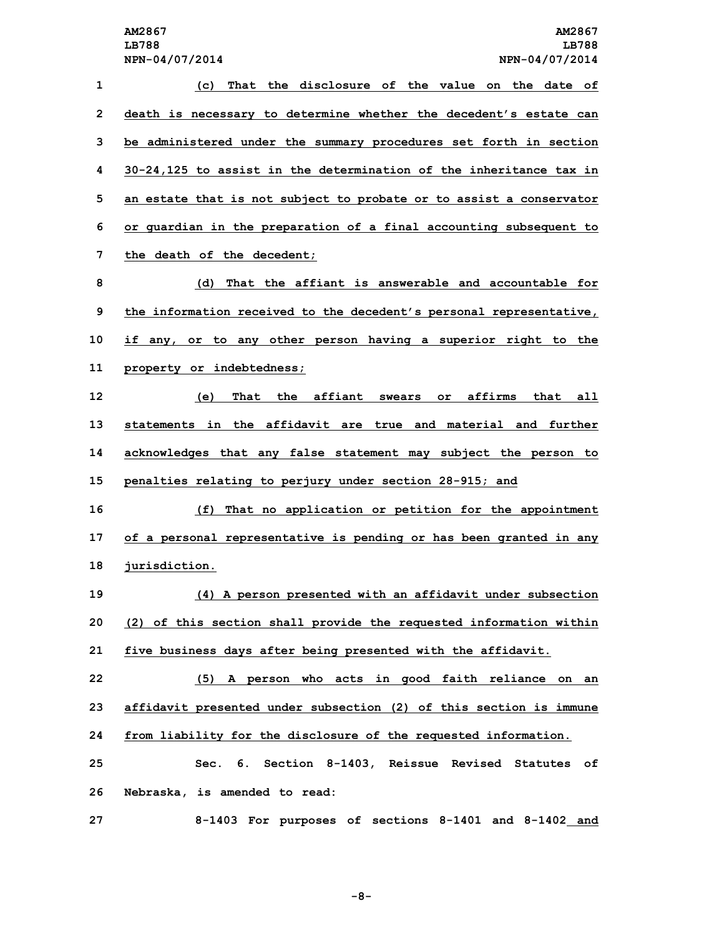| 1            | That the disclosure of the value on the date of<br>(c)              |
|--------------|---------------------------------------------------------------------|
| $\mathbf{2}$ | death is necessary to determine whether the decedent's estate can   |
| 3            | be administered under the summary procedures set forth in section   |
| 4            | 30-24,125 to assist in the determination of the inheritance tax in  |
| 5            | an estate that is not subject to probate or to assist a conservator |
| 6            | or guardian in the preparation of a final accounting subsequent to  |
| 7            | the death of the decedent;                                          |
| 8            | That the affiant is answerable and accountable for<br>(d)           |
| 9            | the information received to the decedent's personal representative, |
| 10           | if any, or to any other person having a superior right to the       |
| 11           | property or indebtedness;                                           |
| 12           | That the affiant swears or affirms<br>that all<br>(e)               |
| 13           | statements in the affidavit are true and material and further       |
| 14           | acknowledges that any false statement may subject the person to     |
| 15           | penalties relating to perjury under section 28-915; and             |
| 16           | That no application or petition for the appointment<br>(f)          |
| 17           | of a personal representative is pending or has been granted in any  |
| 18           | jurisdiction.                                                       |
| 19           | (4) A person presented with an affidavit under subsection           |
| 20           | (2) of this section shall provide the requested information within  |
| 21           | five business days after being presented with the affidavit.        |
| 22           | (5) A person who acts in good faith reliance on an                  |
| 23           | affidavit presented under subsection (2) of this section is immune  |
| 24           | from liability for the disclosure of the requested information.     |
| 25           | Sec. 6. Section 8-1403, Reissue Revised Statutes of                 |
| 26           | Nebraska, is amended to read:                                       |
| 27           | 8-1403 For purposes of sections 8-1401 and 8-1402 and               |

**-8-**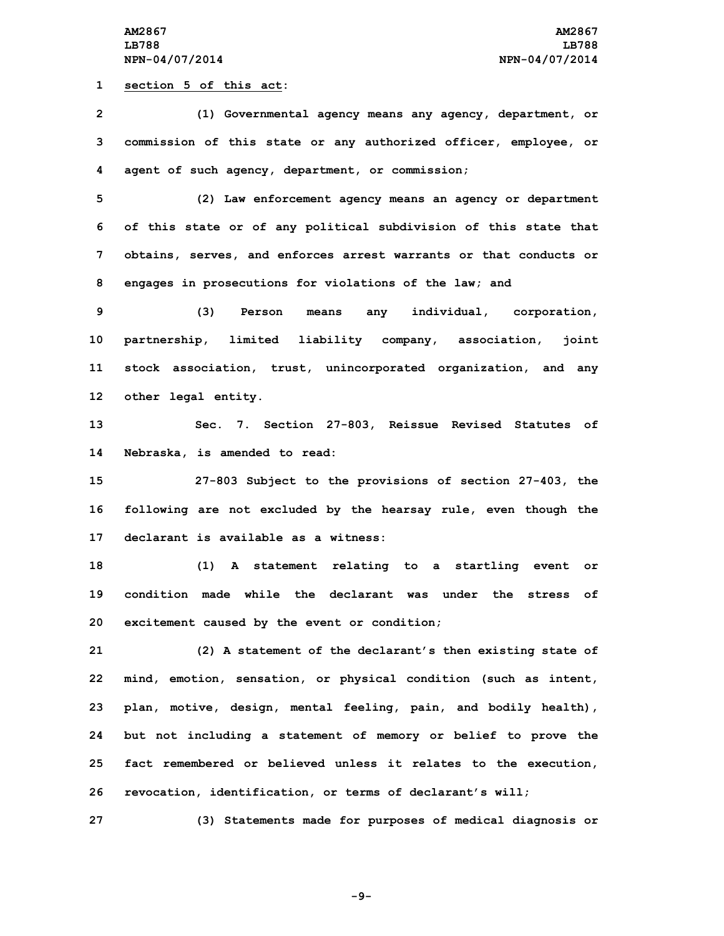**1 section 5 of this act:**

 **(1) Governmental agency means any agency, department, or commission of this state or any authorized officer, employee, or agent of such agency, department, or commission; (2) Law enforcement agency means an agency or department of this state or of any political subdivision of this state that obtains, serves, and enforces arrest warrants or that conducts or engages in prosecutions for violations of the law; and (3) Person means any individual, corporation, partnership, limited liability company, association, joint stock association, trust, unincorporated organization, and any other legal entity. Sec. 7. Section 27-803, Reissue Revised Statutes of Nebraska, is amended to read: 27-803 Subject to the provisions of section 27-403, the following are not excluded by the hearsay rule, even though the declarant is available as a witness: (1) <sup>A</sup> statement relating to <sup>a</sup> startling event or condition made while the declarant was under the stress of**

**20 excitement caused by the event or condition;**

 **(2) <sup>A</sup> statement of the declarant's then existing state of mind, emotion, sensation, or physical condition (such as intent, plan, motive, design, mental feeling, pain, and bodily health), but not including <sup>a</sup> statement of memory or belief to prove the fact remembered or believed unless it relates to the execution, revocation, identification, or terms of declarant's will;**

**27 (3) Statements made for purposes of medical diagnosis or**

**-9-**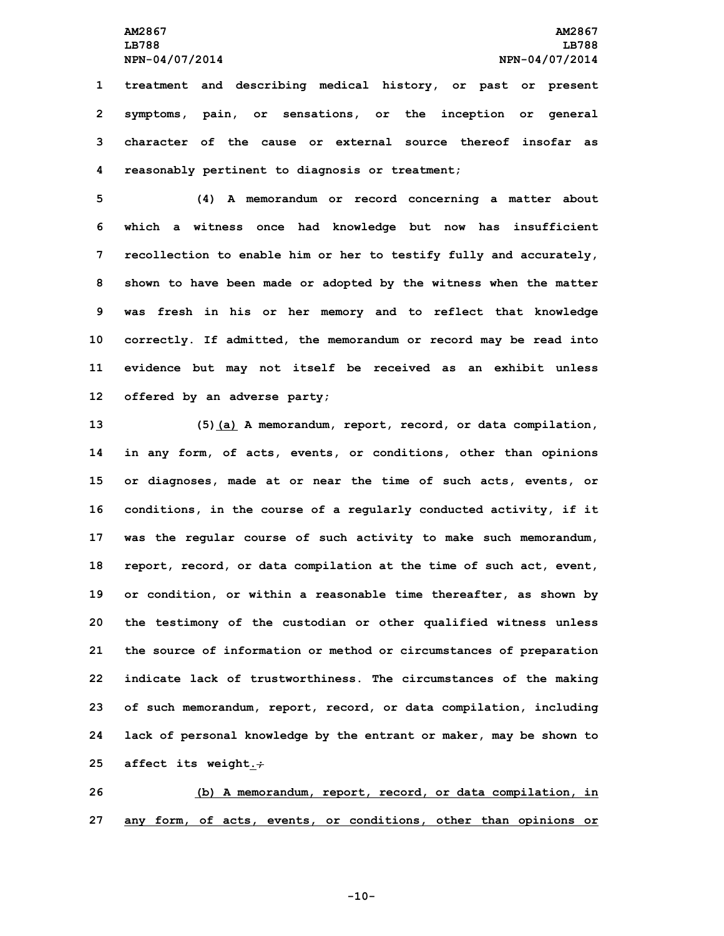**treatment and describing medical history, or past or present symptoms, pain, or sensations, or the inception or general character of the cause or external source thereof insofar as reasonably pertinent to diagnosis or treatment;**

 **(4) <sup>A</sup> memorandum or record concerning <sup>a</sup> matter about which <sup>a</sup> witness once had knowledge but now has insufficient recollection to enable him or her to testify fully and accurately, shown to have been made or adopted by the witness when the matter was fresh in his or her memory and to reflect that knowledge correctly. If admitted, the memorandum or record may be read into evidence but may not itself be received as an exhibit unless offered by an adverse party;**

 **(5)(a) <sup>A</sup> memorandum, report, record, or data compilation, in any form, of acts, events, or conditions, other than opinions or diagnoses, made at or near the time of such acts, events, or conditions, in the course of <sup>a</sup> regularly conducted activity, if it was the regular course of such activity to make such memorandum, report, record, or data compilation at the time of such act, event, or condition, or within <sup>a</sup> reasonable time thereafter, as shown by the testimony of the custodian or other qualified witness unless the source of information or method or circumstances of preparation indicate lack of trustworthiness. The circumstances of the making of such memorandum, report, record, or data compilation, including lack of personal knowledge by the entrant or maker, may be shown to affect its weight.;**

**26 (b) <sup>A</sup> memorandum, report, record, or data compilation, in 27 any form, of acts, events, or conditions, other than opinions or**

**-10-**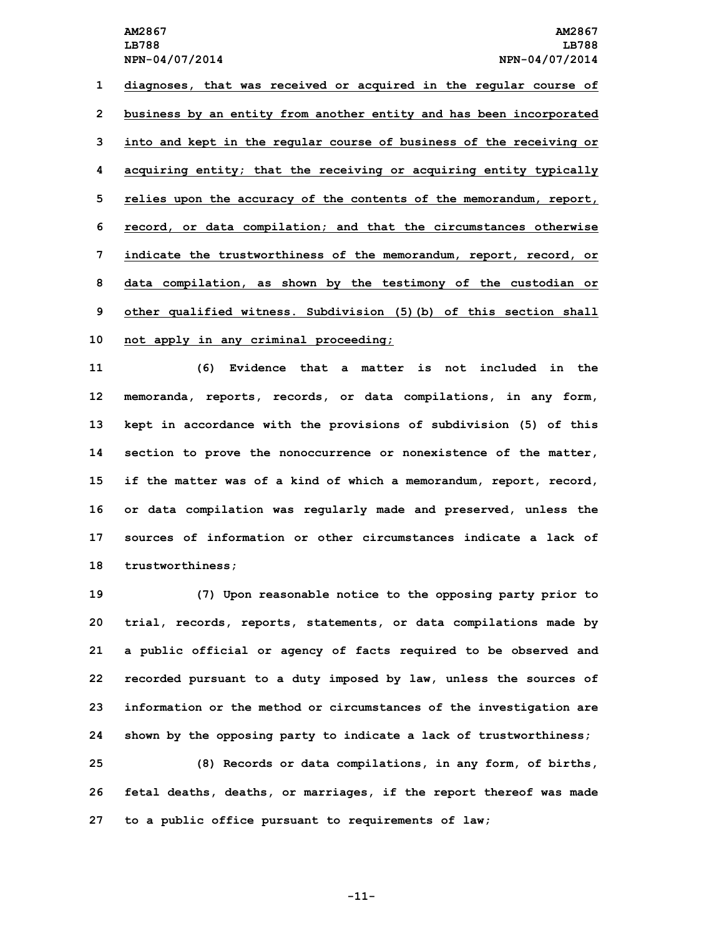**diagnoses, that was received or acquired in the regular course of business by an entity from another entity and has been incorporated into and kept in the regular course of business of the receiving or acquiring entity; that the receiving or acquiring entity typically relies upon the accuracy of the contents of the memorandum, report, record, or data compilation; and that the circumstances otherwise indicate the trustworthiness of the memorandum, report, record, or data compilation, as shown by the testimony of the custodian or other qualified witness. Subdivision (5)(b) of this section shall not apply in any criminal proceeding;**

 **(6) Evidence that <sup>a</sup> matter is not included in the memoranda, reports, records, or data compilations, in any form, kept in accordance with the provisions of subdivision (5) of this section to prove the nonoccurrence or nonexistence of the matter, if the matter was of <sup>a</sup> kind of which <sup>a</sup> memorandum, report, record, or data compilation was regularly made and preserved, unless the sources of information or other circumstances indicate a lack of trustworthiness;**

 **(7) Upon reasonable notice to the opposing party prior to trial, records, reports, statements, or data compilations made by <sup>a</sup> public official or agency of facts required to be observed and recorded pursuant to <sup>a</sup> duty imposed by law, unless the sources of information or the method or circumstances of the investigation are shown by the opposing party to indicate <sup>a</sup> lack of trustworthiness;**

**25 (8) Records or data compilations, in any form, of births, 26 fetal deaths, deaths, or marriages, if the report thereof was made 27 to <sup>a</sup> public office pursuant to requirements of law;**

**-11-**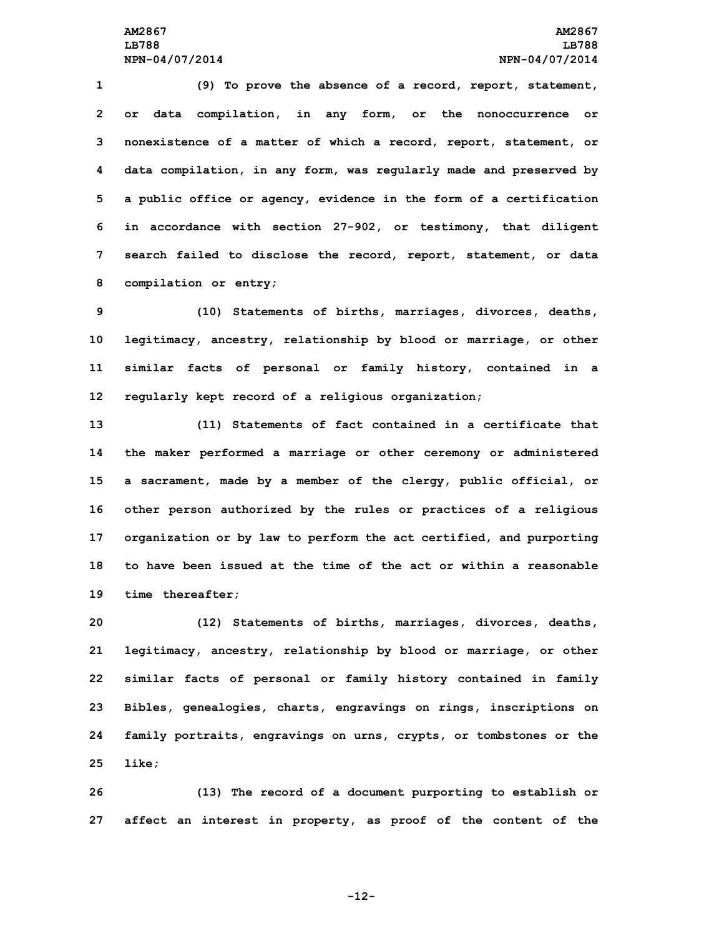**(9) To prove the absence of <sup>a</sup> record, report, statement, or data compilation, in any form, or the nonoccurrence or nonexistence of <sup>a</sup> matter of which <sup>a</sup> record, report, statement, or data compilation, in any form, was regularly made and preserved by <sup>a</sup> public office or agency, evidence in the form of <sup>a</sup> certification in accordance with section 27-902, or testimony, that diligent search failed to disclose the record, report, statement, or data compilation or entry;**

 **(10) Statements of births, marriages, divorces, deaths, legitimacy, ancestry, relationship by blood or marriage, or other similar facts of personal or family history, contained in <sup>a</sup> regularly kept record of <sup>a</sup> religious organization;**

 **(11) Statements of fact contained in <sup>a</sup> certificate that the maker performed <sup>a</sup> marriage or other ceremony or administered <sup>a</sup> sacrament, made by <sup>a</sup> member of the clergy, public official, or other person authorized by the rules or practices of <sup>a</sup> religious organization or by law to perform the act certified, and purporting to have been issued at the time of the act or within a reasonable time thereafter;**

 **(12) Statements of births, marriages, divorces, deaths, legitimacy, ancestry, relationship by blood or marriage, or other similar facts of personal or family history contained in family Bibles, genealogies, charts, engravings on rings, inscriptions on family portraits, engravings on urns, crypts, or tombstones or the 25 like;**

**26 (13) The record of <sup>a</sup> document purporting to establish or 27 affect an interest in property, as proof of the content of the**

**-12-**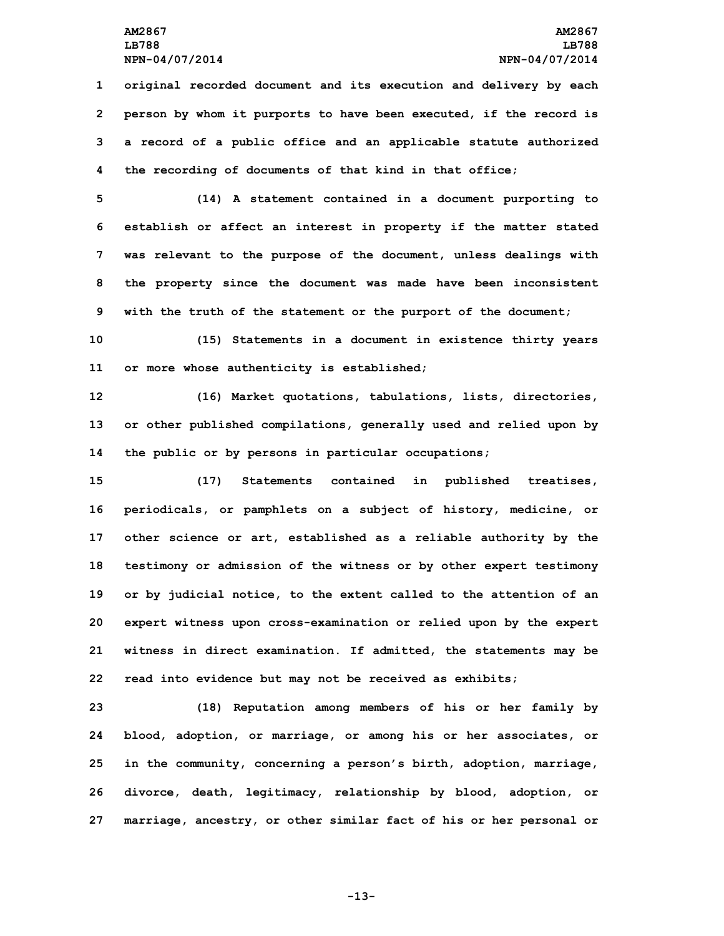**original recorded document and its execution and delivery by each person by whom it purports to have been executed, if the record is <sup>a</sup> record of <sup>a</sup> public office and an applicable statute authorized the recording of documents of that kind in that office;**

 **(14) <sup>A</sup> statement contained in <sup>a</sup> document purporting to establish or affect an interest in property if the matter stated was relevant to the purpose of the document, unless dealings with the property since the document was made have been inconsistent with the truth of the statement or the purport of the document;**

**10 (15) Statements in <sup>a</sup> document in existence thirty years 11 or more whose authenticity is established;**

**12 (16) Market quotations, tabulations, lists, directories, 13 or other published compilations, generally used and relied upon by 14 the public or by persons in particular occupations;**

 **(17) Statements contained in published treatises, periodicals, or pamphlets on <sup>a</sup> subject of history, medicine, or other science or art, established as <sup>a</sup> reliable authority by the testimony or admission of the witness or by other expert testimony or by judicial notice, to the extent called to the attention of an expert witness upon cross-examination or relied upon by the expert witness in direct examination. If admitted, the statements may be read into evidence but may not be received as exhibits;**

 **(18) Reputation among members of his or her family by blood, adoption, or marriage, or among his or her associates, or in the community, concerning <sup>a</sup> person's birth, adoption, marriage, divorce, death, legitimacy, relationship by blood, adoption, or marriage, ancestry, or other similar fact of his or her personal or**

**-13-**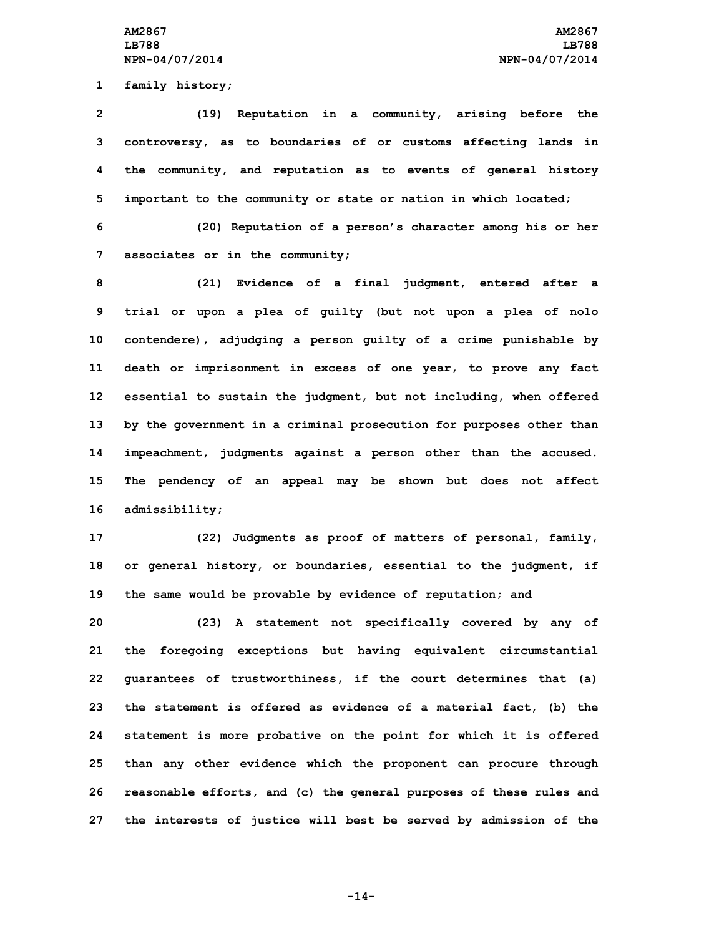**1 family history;**

 **(19) Reputation in <sup>a</sup> community, arising before the controversy, as to boundaries of or customs affecting lands in the community, and reputation as to events of general history important to the community or state or nation in which located;**

**6 (20) Reputation of <sup>a</sup> person's character among his or her 7 associates or in the community;**

 **(21) Evidence of <sup>a</sup> final judgment, entered after <sup>a</sup> trial or upon <sup>a</sup> plea of guilty (but not upon <sup>a</sup> plea of nolo contendere), adjudging <sup>a</sup> person guilty of <sup>a</sup> crime punishable by death or imprisonment in excess of one year, to prove any fact essential to sustain the judgment, but not including, when offered by the government in <sup>a</sup> criminal prosecution for purposes other than impeachment, judgments against <sup>a</sup> person other than the accused. The pendency of an appeal may be shown but does not affect admissibility;**

**17 (22) Judgments as proof of matters of personal, family, 18 or general history, or boundaries, essential to the judgment, if 19 the same would be provable by evidence of reputation; and**

 **(23) <sup>A</sup> statement not specifically covered by any of the foregoing exceptions but having equivalent circumstantial guarantees of trustworthiness, if the court determines that (a) the statement is offered as evidence of <sup>a</sup> material fact, (b) the statement is more probative on the point for which it is offered than any other evidence which the proponent can procure through reasonable efforts, and (c) the general purposes of these rules and the interests of justice will best be served by admission of the**

**-14-**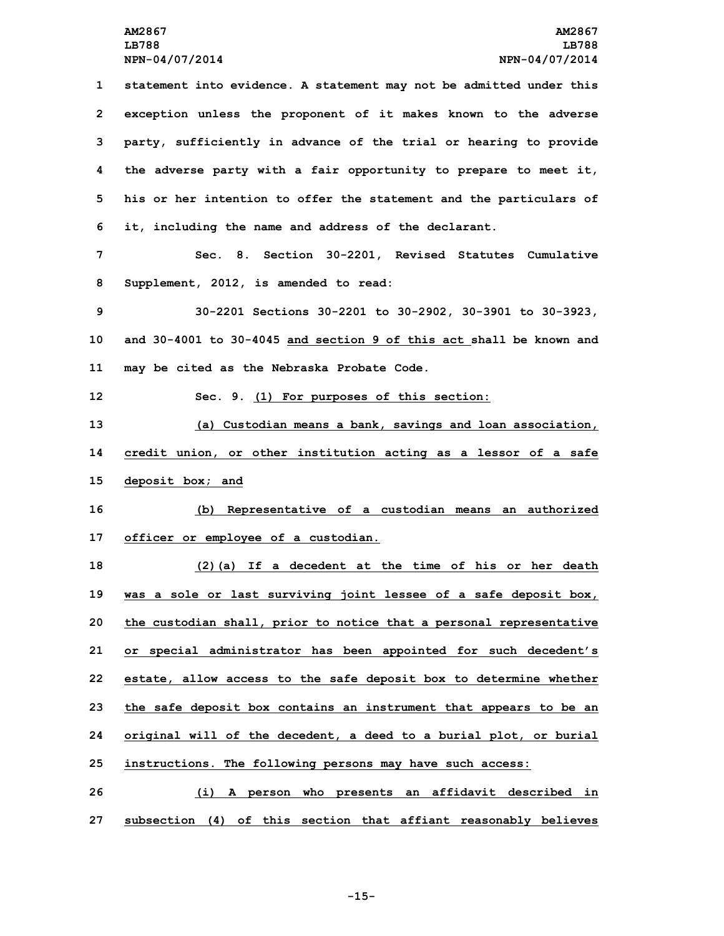**statement into evidence. <sup>A</sup> statement may not be admitted under this exception unless the proponent of it makes known to the adverse party, sufficiently in advance of the trial or hearing to provide the adverse party with <sup>a</sup> fair opportunity to prepare to meet it, his or her intention to offer the statement and the particulars of it, including the name and address of the declarant. Sec. 8. Section 30-2201, Revised Statutes Cumulative Supplement, 2012, is amended to read: 30-2201 Sections 30-2201 to 30-2902, 30-3901 to 30-3923, and 30-4001 to 30-4045 and section 9 of this act shall be known and may be cited as the Nebraska Probate Code. Sec. 9. (1) For purposes of this section: (a) Custodian means <sup>a</sup> bank, savings and loan association, credit union, or other institution acting as <sup>a</sup> lessor of <sup>a</sup> safe deposit box; and (b) Representative of <sup>a</sup> custodian means an authorized officer or employee of <sup>a</sup> custodian. (2)(a) If <sup>a</sup> decedent at the time of his or her death was <sup>a</sup> sole or last surviving joint lessee of <sup>a</sup> safe deposit box, the custodian shall, prior to notice that <sup>a</sup> personal representative or special administrator has been appointed for such decedent's estate, allow access to the safe deposit box to determine whether the safe deposit box contains an instrument that appears to be an original will of the decedent, <sup>a</sup> deed to <sup>a</sup> burial plot, or burial instructions. The following persons may have such access: (i) <sup>A</sup> person who presents an affidavit described in**

**27 subsection (4) of this section that affiant reasonably believes**

**-15-**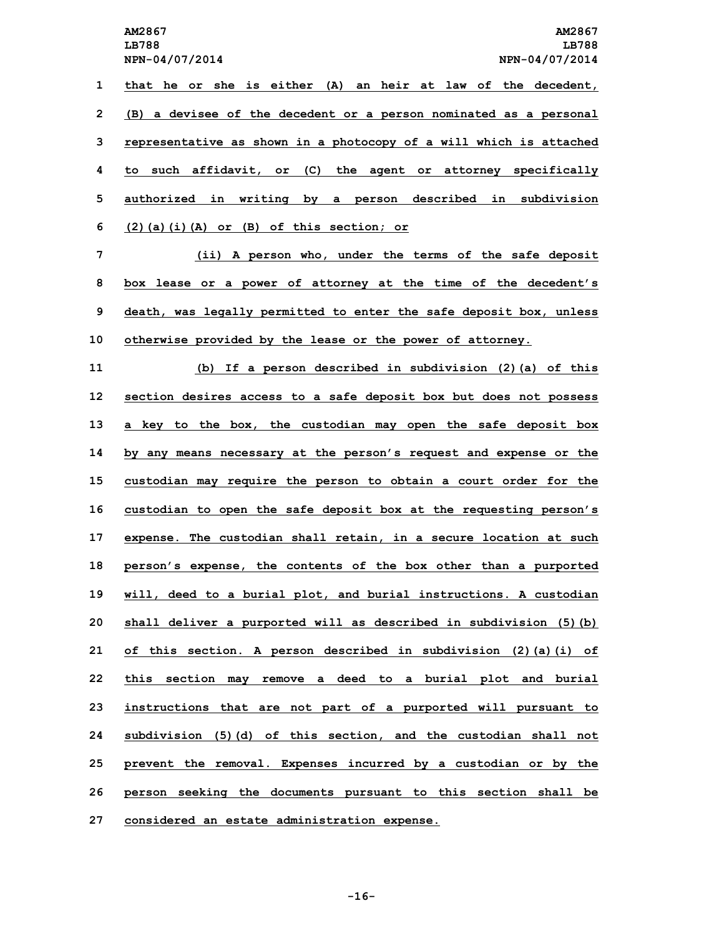**LB788 LB788 NPN-04/07/2014 NPN-04/07/2014 that he or she is either (A) an heir at law of the decedent, (B) <sup>a</sup> devisee of the decedent or <sup>a</sup> person nominated as <sup>a</sup> personal representative as shown in <sup>a</sup> photocopy of <sup>a</sup> will which is attached to such affidavit, or (C) the agent or attorney specifically authorized in writing by <sup>a</sup> person described in subdivision (2)(a)(i)(A) or (B) of this section; or (ii) <sup>A</sup> person who, under the terms of the safe deposit box lease or <sup>a</sup> power of attorney at the time of the decedent's death, was legally permitted to enter the safe deposit box, unless otherwise provided by the lease or the power of attorney. (b) If <sup>a</sup> person described in subdivision (2)(a) of this section desires access to <sup>a</sup> safe deposit box but does not possess <sup>a</sup> key to the box, the custodian may open the safe deposit box by any means necessary at the person's request and expense or the custodian may require the person to obtain <sup>a</sup> court order for the custodian to open the safe deposit box at the requesting person's expense. The custodian shall retain, in <sup>a</sup> secure location at such person's expense, the contents of the box other than <sup>a</sup> purported will, deed to <sup>a</sup> burial plot, and burial instructions. <sup>A</sup> custodian shall deliver <sup>a</sup> purported will as described in subdivision (5)(b) of this section. <sup>A</sup> person described in subdivision (2)(a)(i) of**

 **this section may remove <sup>a</sup> deed to <sup>a</sup> burial plot and burial instructions that are not part of <sup>a</sup> purported will pursuant to subdivision (5)(d) of this section, and the custodian shall not prevent the removal. Expenses incurred by <sup>a</sup> custodian or by the person seeking the documents pursuant to this section shall be considered an estate administration expense.**

**-16-**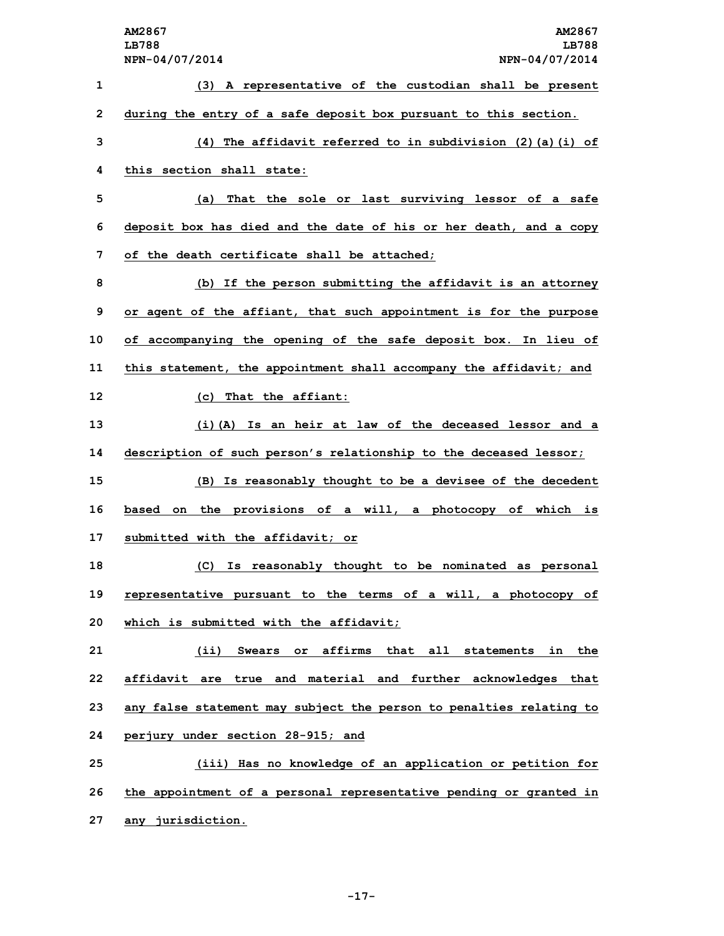**AM2867 AM2867 LB788 LB788 NPN-04/07/2014 NPN-04/07/2014 (3) <sup>A</sup> representative of the custodian shall be present during the entry of <sup>a</sup> safe deposit box pursuant to this section. (4) The affidavit referred to in subdivision (2)(a)(i) of this section shall state: (a) That the sole or last surviving lessor of <sup>a</sup> safe deposit box has died and the date of his or her death, and <sup>a</sup> copy of the death certificate shall be attached; (b) If the person submitting the affidavit is an attorney or agent of the affiant, that such appointment is for the purpose of accompanying the opening of the safe deposit box. In lieu of this statement, the appointment shall accompany the affidavit; and (c) That the affiant: (i)(A) Is an heir at law of the deceased lessor and <sup>a</sup> description of such person's relationship to the deceased lessor; (B) Is reasonably thought to be <sup>a</sup> devisee of the decedent based on the provisions of <sup>a</sup> will, <sup>a</sup> photocopy of which is submitted with the affidavit; or (C) Is reasonably thought to be nominated as personal representative pursuant to the terms of <sup>a</sup> will, <sup>a</sup> photocopy of which is submitted with the affidavit; (ii) Swears or affirms that all statements in the affidavit are true and material and further acknowledges that any false statement may subject the person to penalties relating to perjury under section 28-915; and (iii) Has no knowledge of an application or petition for the appointment of <sup>a</sup> personal representative pending or granted in**

**27 any jurisdiction.**

**-17-**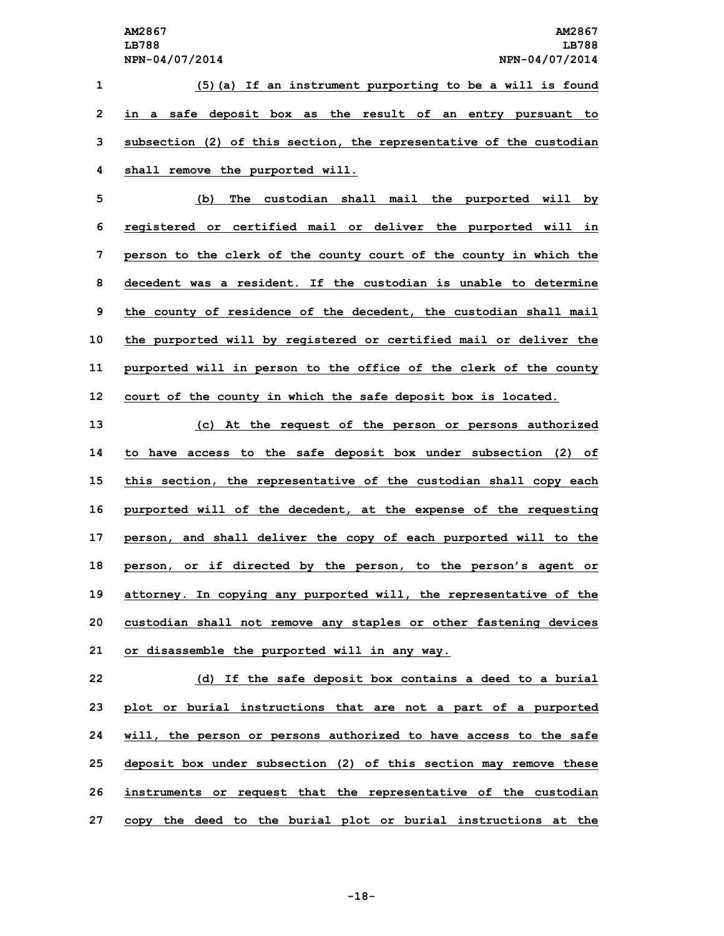**(5)(a) If an instrument purporting to be <sup>a</sup> will is found in <sup>a</sup> safe deposit box as the result of an entry pursuant to subsection (2) of this section, the representative of the custodian shall remove the purported will.**

 **(b) The custodian shall mail the purported will by registered or certified mail or deliver the purported will in person to the clerk of the county court of the county in which the decedent was a resident. If the custodian is unable to determine the county of residence of the decedent, the custodian shall mail the purported will by registered or certified mail or deliver the purported will in person to the office of the clerk of the county court of the county in which the safe deposit box is located.**

 **(c) At the request of the person or persons authorized to have access to the safe deposit box under subsection (2) of this section, the representative of the custodian shall copy each purported will of the decedent, at the expense of the requesting person, and shall deliver the copy of each purported will to the person, or if directed by the person, to the person's agent or attorney. In copying any purported will, the representative of the custodian shall not remove any staples or other fastening devices or disassemble the purported will in any way.**

 **(d) If the safe deposit box contains <sup>a</sup> deed to <sup>a</sup> burial plot or burial instructions that are not <sup>a</sup> part of <sup>a</sup> purported will, the person or persons authorized to have access to the safe deposit box under subsection (2) of this section may remove these instruments or request that the representative of the custodian copy the deed to the burial plot or burial instructions at the**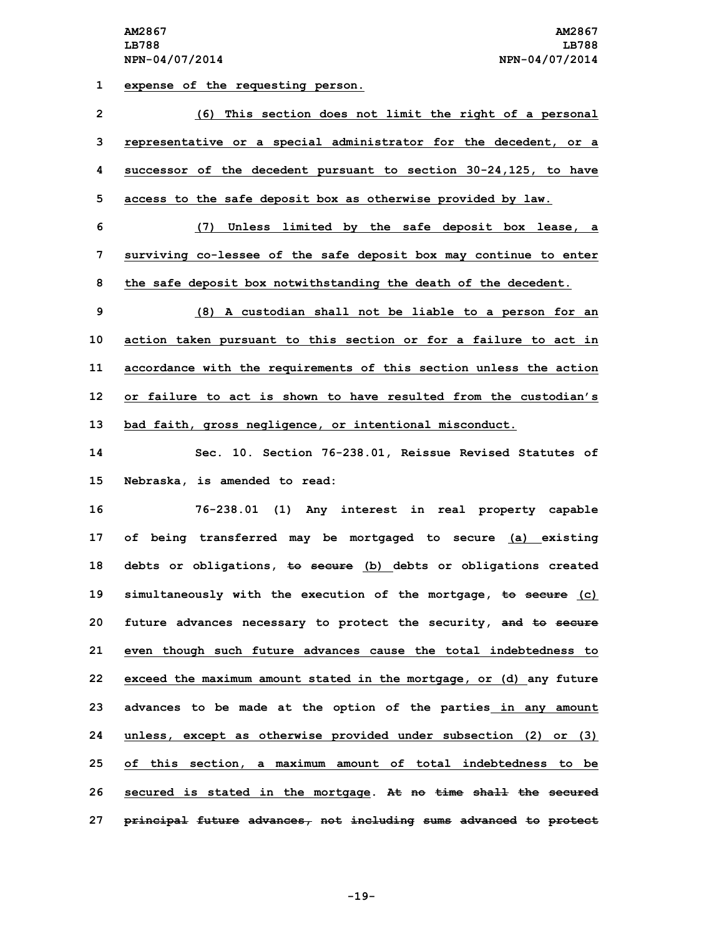**1 expense of the requesting person.**

 **(6) This section does not limit the right of <sup>a</sup> personal representative or <sup>a</sup> special administrator for the decedent, or <sup>a</sup> successor of the decedent pursuant to section 30-24,125, to have access to the safe deposit box as otherwise provided by law. (7) Unless limited by the safe deposit box lease, <sup>a</sup> surviving co-lessee of the safe deposit box may continue to enter the safe deposit box notwithstanding the death of the decedent. (8) <sup>A</sup> custodian shall not be liable to <sup>a</sup> person for an action taken pursuant to this section or for <sup>a</sup> failure to act in accordance with the requirements of this section unless the action or failure to act is shown to have resulted from the custodian's bad faith, gross negligence, or intentional misconduct.**

**14 Sec. 10. Section 76-238.01, Reissue Revised Statutes of 15 Nebraska, is amended to read:**

 **76-238.01 (1) Any interest in real property capable of being transferred may be mortgaged to secure (a) existing debts or obligations, to secure (b) debts or obligations created simultaneously with the execution of the mortgage, to secure (c) future advances necessary to protect the security, and to secure even though such future advances cause the total indebtedness to exceed the maximum amount stated in the mortgage, or (d) any future advances to be made at the option of the parties in any amount unless, except as otherwise provided under subsection (2) or (3) of this section, <sup>a</sup> maximum amount of total indebtedness to be secured is stated in the mortgage. At no time shall the secured principal future advances, not including sums advanced to protect**

**-19-**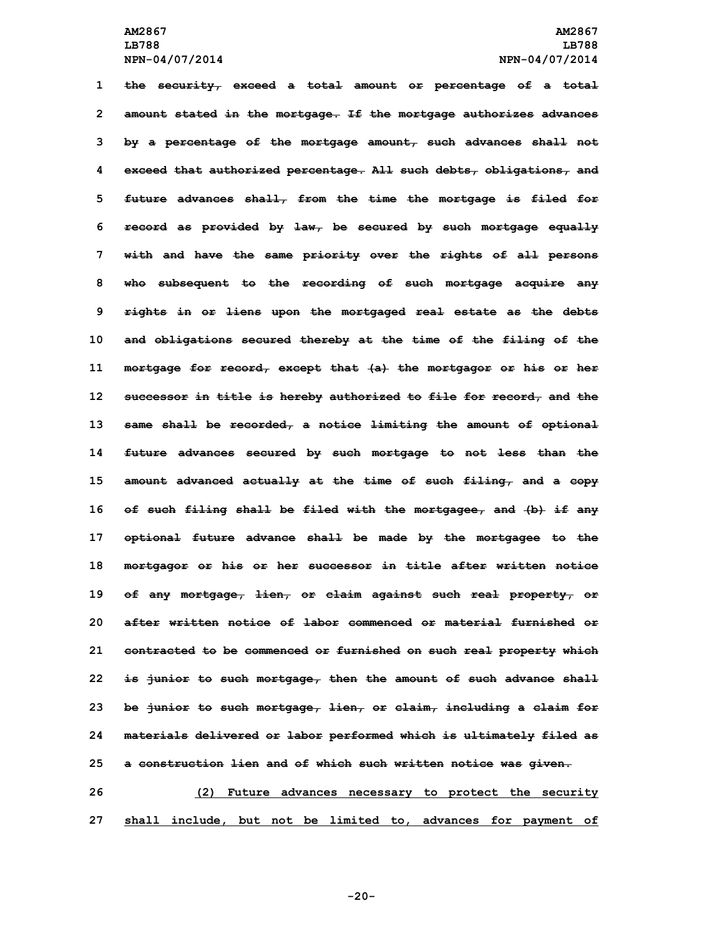**the security, exceed <sup>a</sup> total amount or percentage of <sup>a</sup> total amount stated in the mortgage. If the mortgage authorizes advances by <sup>a</sup> percentage of the mortgage amount, such advances shall not exceed that authorized percentage. All such debts, obligations, and future advances shall, from the time the mortgage is filed for record as provided by law, be secured by such mortgage equally with and have the same priority over the rights of all persons who subsequent to the recording of such mortgage acquire any rights in or liens upon the mortgaged real estate as the debts and obligations secured thereby at the time of the filing of the mortgage for record, except that (a) the mortgagor or his or her successor in title is hereby authorized to file for record, and the same shall be recorded, <sup>a</sup> notice limiting the amount of optional future advances secured by such mortgage to not less than the amount advanced actually at the time of such filing, and <sup>a</sup> copy of such filing shall be filed with the mortgagee, and (b) if any optional future advance shall be made by the mortgagee to the mortgagor or his or her successor in title after written notice of any mortgage, lien, or claim against such real property, or after written notice of labor commenced or material furnished or contracted to be commenced or furnished on such real property which is junior to such mortgage, then the amount of such advance shall be junior to such mortgage, lien, or claim, including <sup>a</sup> claim for materials delivered or labor performed which is ultimately filed as <sup>a</sup> construction lien and of which such written notice was given. (2) Future advances necessary to protect the security**

**27 shall include, but not be limited to, advances for payment of**

**-20-**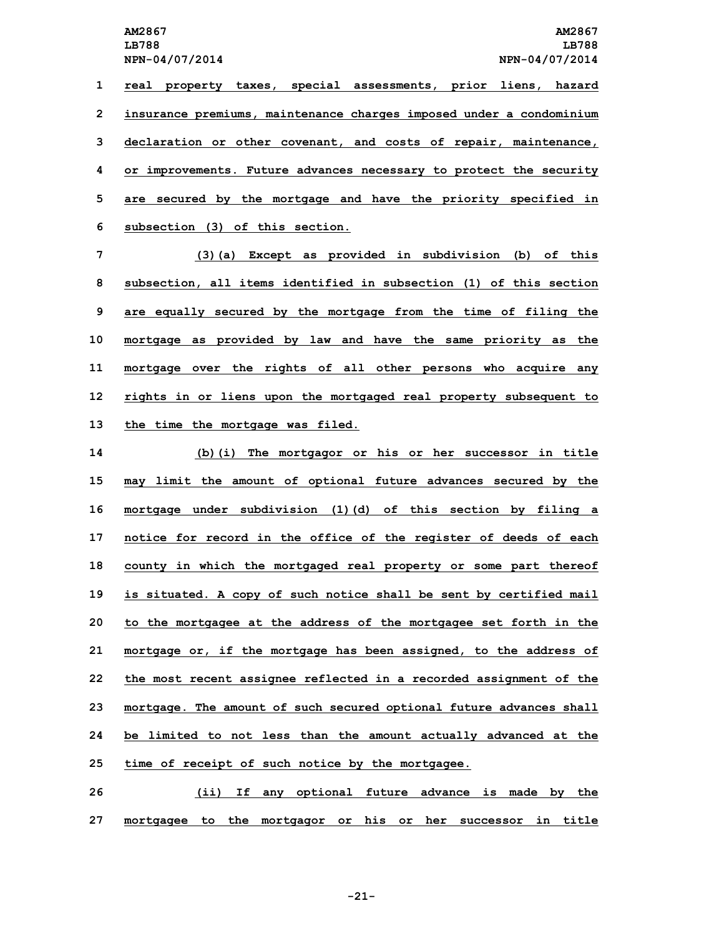**LB788 LB788**

 **real property taxes, special assessments, prior liens, hazard insurance premiums, maintenance charges imposed under <sup>a</sup> condominium declaration or other covenant, and costs of repair, maintenance, or improvements. Future advances necessary to protect the security are secured by the mortgage and have the priority specified in subsection (3) of this section.**

 **(3)(a) Except as provided in subdivision (b) of this subsection, all items identified in subsection (1) of this section are equally secured by the mortgage from the time of filing the mortgage as provided by law and have the same priority as the mortgage over the rights of all other persons who acquire any rights in or liens upon the mortgaged real property subsequent to the time the mortgage was filed.**

 **(b)(i) The mortgagor or his or her successor in title may limit the amount of optional future advances secured by the mortgage under subdivision (1)(d) of this section by filing <sup>a</sup> notice for record in the office of the register of deeds of each county in which the mortgaged real property or some part thereof is situated. <sup>A</sup> copy of such notice shall be sent by certified mail to the mortgagee at the address of the mortgagee set forth in the mortgage or, if the mortgage has been assigned, to the address of the most recent assignee reflected in <sup>a</sup> recorded assignment of the mortgage. The amount of such secured optional future advances shall be limited to not less than the amount actually advanced at the time of receipt of such notice by the mortgagee.**

**26 (ii) If any optional future advance is made by the 27 mortgagee to the mortgagor or his or her successor in title**

**-21-**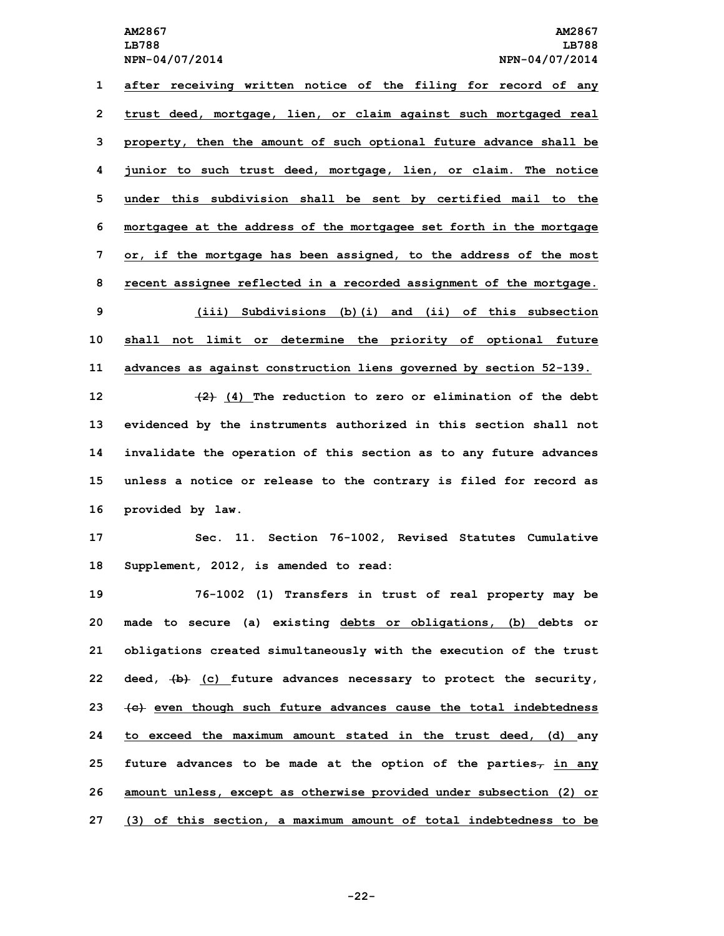**after receiving written notice of the filing for record of any trust deed, mortgage, lien, or claim against such mortgaged real property, then the amount of such optional future advance shall be junior to such trust deed, mortgage, lien, or claim. The notice under this subdivision shall be sent by certified mail to the mortgagee at the address of the mortgagee set forth in the mortgage or, if the mortgage has been assigned, to the address of the most recent assignee reflected in <sup>a</sup> recorded assignment of the mortgage. (iii) Subdivisions (b)(i) and (ii) of this subsection shall not limit or determine the priority of optional future advances as against construction liens governed by section 52-139. (2) (4) The reduction to zero or elimination of the debt**

 **evidenced by the instruments authorized in this section shall not invalidate the operation of this section as to any future advances unless <sup>a</sup> notice or release to the contrary is filed for record as provided by law.**

**17 Sec. 11. Section 76-1002, Revised Statutes Cumulative 18 Supplement, 2012, is amended to read:**

 **76-1002 (1) Transfers in trust of real property may be made to secure (a) existing debts or obligations, (b) debts or obligations created simultaneously with the execution of the trust deed, (b) (c) future advances necessary to protect the security, (c) even though such future advances cause the total indebtedness to exceed the maximum amount stated in the trust deed, (d) any future advances to be made at the option of the parties, in any amount unless, except as otherwise provided under subsection (2) or (3) of this section, <sup>a</sup> maximum amount of total indebtedness to be**

**-22-**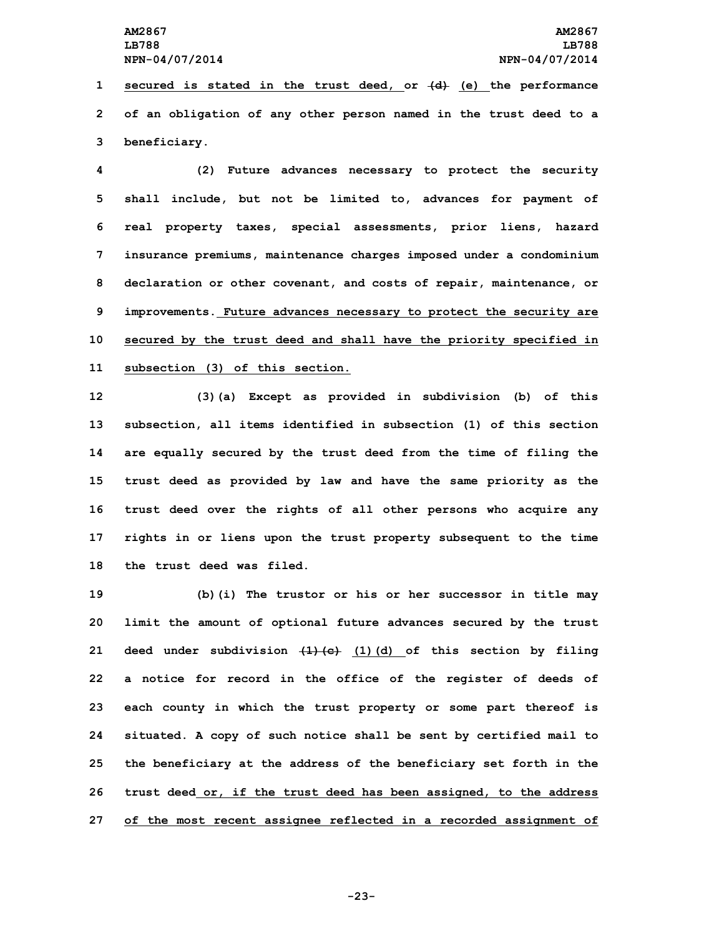**1 secured is stated in the trust deed, or (d) (e) the performance 2 of an obligation of any other person named in the trust deed to <sup>a</sup> 3 beneficiary.**

 **(2) Future advances necessary to protect the security shall include, but not be limited to, advances for payment of real property taxes, special assessments, prior liens, hazard insurance premiums, maintenance charges imposed under <sup>a</sup> condominium declaration or other covenant, and costs of repair, maintenance, or improvements. Future advances necessary to protect the security are secured by the trust deed and shall have the priority specified in subsection (3) of this section.**

 **(3)(a) Except as provided in subdivision (b) of this subsection, all items identified in subsection (1) of this section are equally secured by the trust deed from the time of filing the trust deed as provided by law and have the same priority as the trust deed over the rights of all other persons who acquire any rights in or liens upon the trust property subsequent to the time the trust deed was filed.**

 **(b)(i) The trustor or his or her successor in title may limit the amount of optional future advances secured by the trust deed under subdivision (1)(c) (1)(d) of this section by filing <sup>a</sup> notice for record in the office of the register of deeds of each county in which the trust property or some part thereof is situated. <sup>A</sup> copy of such notice shall be sent by certified mail to the beneficiary at the address of the beneficiary set forth in the trust deed or, if the trust deed has been assigned, to the address of the most recent assignee reflected in <sup>a</sup> recorded assignment of**

**-23-**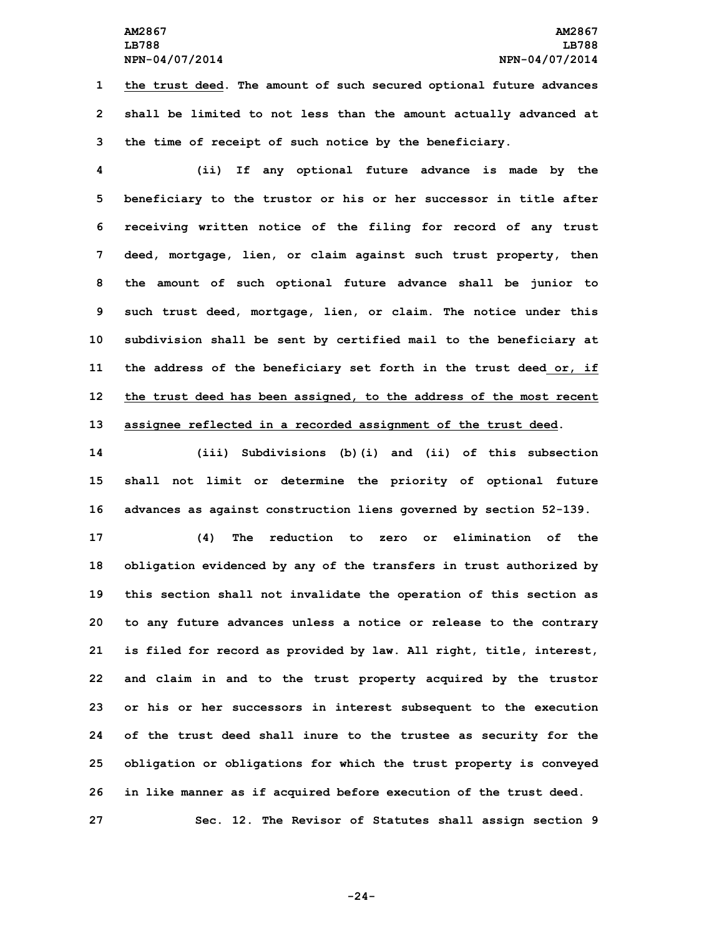## **AM2867 AM2867 LB788 LB788 NPN-04/07/2014 NPN-04/07/2014**

**1 the trust deed. The amount of such secured optional future advances 2 shall be limited to not less than the amount actually advanced at 3 the time of receipt of such notice by the beneficiary.**

 **(ii) If any optional future advance is made by the beneficiary to the trustor or his or her successor in title after receiving written notice of the filing for record of any trust deed, mortgage, lien, or claim against such trust property, then the amount of such optional future advance shall be junior to such trust deed, mortgage, lien, or claim. The notice under this subdivision shall be sent by certified mail to the beneficiary at the address of the beneficiary set forth in the trust deed or, if the trust deed has been assigned, to the address of the most recent assignee reflected in <sup>a</sup> recorded assignment of the trust deed.**

**14 (iii) Subdivisions (b)(i) and (ii) of this subsection 15 shall not limit or determine the priority of optional future 16 advances as against construction liens governed by section 52-139.**

 **(4) The reduction to zero or elimination of the obligation evidenced by any of the transfers in trust authorized by this section shall not invalidate the operation of this section as to any future advances unless <sup>a</sup> notice or release to the contrary is filed for record as provided by law. All right, title, interest, and claim in and to the trust property acquired by the trustor or his or her successors in interest subsequent to the execution of the trust deed shall inure to the trustee as security for the obligation or obligations for which the trust property is conveyed in like manner as if acquired before execution of the trust deed. Sec. 12. The Revisor of Statutes shall assign section 9**

**-24-**